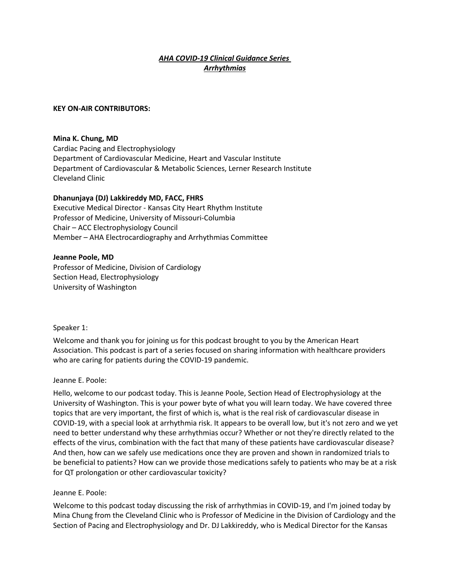# *AHA COVID-19 Clinical Guidance Series Arrhythmias*

#### **KEY ON-AIR CONTRIBUTORS:**

#### **Mina K. Chung, MD**

Cardiac Pacing and Electrophysiology Department of Cardiovascular Medicine, Heart and Vascular Institute Department of Cardiovascular & Metabolic Sciences, Lerner Research Institute Cleveland Clinic

## **Dhanunjaya (DJ) Lakkireddy MD, FACC, FHRS**

Executive Medical Director - Kansas City Heart Rhythm Institute Professor of Medicine, University of Missouri-Columbia Chair – ACC Electrophysiology Council Member – AHA Electrocardiography and Arrhythmias Committee

### **Jeanne Poole, MD**

Professor of Medicine, Division of Cardiology Section Head, Electrophysiology University of Washington

Speaker 1:

Welcome and thank you for joining us for this podcast brought to you by the American Heart Association. This podcast is part of a series focused on sharing information with healthcare providers who are caring for patients during the COVID-19 pandemic.

#### Jeanne E. Poole:

Hello, welcome to our podcast today. This is Jeanne Poole, Section Head of Electrophysiology at the University of Washington. This is your power byte of what you will learn today. We have covered three topics that are very important, the first of which is, what is the real risk of cardiovascular disease in COVID-19, with a special look at arrhythmia risk. It appears to be overall low, but it's not zero and we yet need to better understand why these arrhythmias occur? Whether or not they're directly related to the effects of the virus, combination with the fact that many of these patients have cardiovascular disease? And then, how can we safely use medications once they are proven and shown in randomized trials to be beneficial to patients? How can we provide those medications safely to patients who may be at a risk for QT prolongation or other cardiovascular toxicity?

## Jeanne E. Poole:

Welcome to this podcast today discussing the risk of arrhythmias in COVID-19, and I'm joined today by Mina Chung from the Cleveland Clinic who is Professor of Medicine in the Division of Cardiology and the Section of Pacing and Electrophysiology and Dr. DJ Lakkireddy, who is Medical Director for the Kansas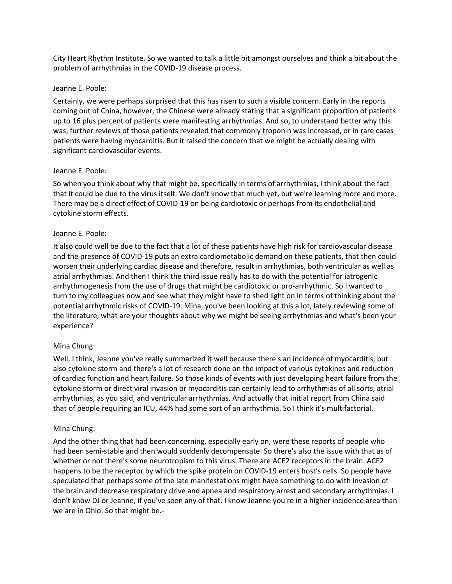City Heart Rhythm Institute. So we wanted to talk a little bit amongst ourselves and think a bit about the problem of arrhythmias in the COVID-19 disease process.

### Jeanne E. Poole:

Certainly, we were perhaps surprised that this has risen to such a visible concern. Early in the reports coming out of China, however, the Chinese were already stating that a significant proportion of patients up to 16 plus percent of patients were manifesting arrhythmias. And so, to understand better why this was, further reviews of those patients revealed that commonly troponin was increased, or in rare cases patients were having myocarditis. But it raised the concern that we might be actually dealing with significant cardiovascular events.

### Jeanne E. Poole:

So when you think about why that might be, specifically in terms of arrhythmias, I think about the fact that it could be due to the virus itself. We don't know that much yet, but we're learning more and more. There may be a direct effect of COVID-19 on being cardiotoxic or perhaps from its endothelial and cytokine storm effects.

### Jeanne E. Poole:

It also could well be due to the fact that a lot of these patients have high risk for cardiovascular disease and the presence of COVID-19 puts an extra cardiometabolic demand on these patients, that then could worsen their underlying cardiac disease and therefore, result in arrhythmias, both ventricular as well as atrial arrhythmias. And then I think the third issue really has to do with the potential for iatrogenic arrhythmogenesis from the use of drugs that might be cardiotoxic or pro-arrhythmic. So I wanted to turn to my colleagues now and see what they might have to shed light on in terms of thinking about the potential arrhythmic risks of COVID-19. Mina, you've been looking at this a lot, lately reviewing some of the literature, what are your thoughts about why we might be seeing arrhythmias and what's been your experience?

## Mina Chung:

Well, I think, Jeanne you've really summarized it well because there's an incidence of myocarditis, but also cytokine storm and there's a lot of research done on the impact of various cytokines and reduction of cardiac function and heart failure. So those kinds of events with just developing heart failure from the cytokine storm or direct viral invasion or myocarditis can certainly lead to arrhythmias of all sorts, atrial arrhythmias, as you said, and ventricular arrhythmias. And actually that initial report from China said that of people requiring an ICU, 44% had some sort of an arrhythmia. So I think it's multifactorial.

## Mina Chung:

And the other thing that had been concerning, especially early on, were these reports of people who had been semi-stable and then would suddenly decompensate. So there's also the issue with that as of whether or not there's some neurotropism to this virus. There are ACE2 receptors in the brain. ACE2 happens to be the receptor by which the spike protein on COVID-19 enters host's cells. So people have speculated that perhaps some of the late manifestations might have something to do with invasion of the brain and decrease respiratory drive and apnea and respiratory arrest and secondary arrhythmias. I don't know DJ or Jeanne, if you've seen any of that. I know Jeanne you're in a higher incidence area than we are in Ohio. So that might be.-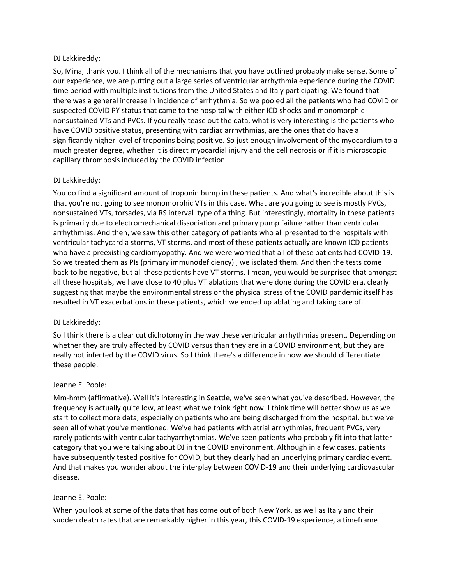### DJ Lakkireddy:

So, Mina, thank you. I think all of the mechanisms that you have outlined probably make sense. Some of our experience, we are putting out a large series of ventricular arrhythmia experience during the COVID time period with multiple institutions from the United States and Italy participating. We found that there was a general increase in incidence of arrhythmia. So we pooled all the patients who had COVID or suspected COVID PY status that came to the hospital with either ICD shocks and monomorphic nonsustained VTs and PVCs. If you really tease out the data, what is very interesting is the patients who have COVID positive status, presenting with cardiac arrhythmias, are the ones that do have a significantly higher level of troponins being positive. So just enough involvement of the myocardium to a much greater degree, whether it is direct myocardial injury and the cell necrosis or if it is microscopic capillary thrombosis induced by the COVID infection.

## DJ Lakkireddy:

You do find a significant amount of troponin bump in these patients. And what's incredible about this is that you're not going to see monomorphic VTs in this case. What are you going to see is mostly PVCs, nonsustained VTs, torsades, via RS interval type of a thing. But interestingly, mortality in these patients is primarily due to electromechanical dissociation and primary pump failure rather than ventricular arrhythmias. And then, we saw this other category of patients who all presented to the hospitals with ventricular tachycardia storms, VT storms, and most of these patients actually are known ICD patients who have a preexisting cardiomyopathy. And we were worried that all of these patients had COVID-19. So we treated them as PIs (primary immunodeficiency) , we isolated them. And then the tests come back to be negative, but all these patients have VT storms. I mean, you would be surprised that amongst all these hospitals, we have close to 40 plus VT ablations that were done during the COVID era, clearly suggesting that maybe the environmental stress or the physical stress of the COVID pandemic itself has resulted in VT exacerbations in these patients, which we ended up ablating and taking care of.

## DJ Lakkireddy:

So I think there is a clear cut dichotomy in the way these ventricular arrhythmias present. Depending on whether they are truly affected by COVID versus than they are in a COVID environment, but they are really not infected by the COVID virus. So I think there's a difference in how we should differentiate these people.

## Jeanne E. Poole:

Mm-hmm (affirmative). Well it's interesting in Seattle, we've seen what you've described. However, the frequency is actually quite low, at least what we think right now. I think time will better show us as we start to collect more data, especially on patients who are being discharged from the hospital, but we've seen all of what you've mentioned. We've had patients with atrial arrhythmias, frequent PVCs, very rarely patients with ventricular tachyarrhythmias. We've seen patients who probably fit into that latter category that you were talking about DJ in the COVID environment. Although in a few cases, patients have subsequently tested positive for COVID, but they clearly had an underlying primary cardiac event. And that makes you wonder about the interplay between COVID-19 and their underlying cardiovascular disease.

## Jeanne E. Poole:

When you look at some of the data that has come out of both New York, as well as Italy and their sudden death rates that are remarkably higher in this year, this COVID-19 experience, a timeframe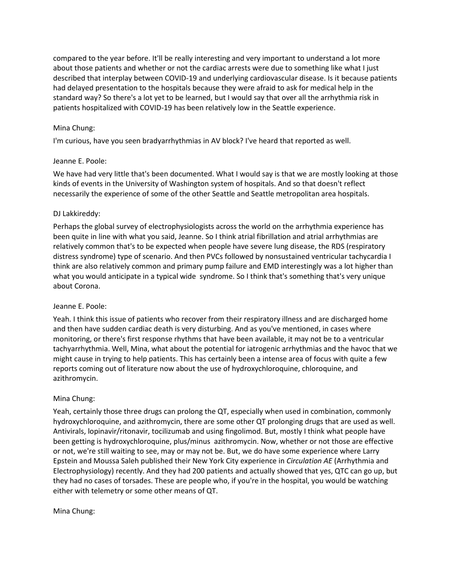compared to the year before. It'll be really interesting and very important to understand a lot more about those patients and whether or not the cardiac arrests were due to something like what I just described that interplay between COVID-19 and underlying cardiovascular disease. Is it because patients had delayed presentation to the hospitals because they were afraid to ask for medical help in the standard way? So there's a lot yet to be learned, but I would say that over all the arrhythmia risk in patients hospitalized with COVID-19 has been relatively low in the Seattle experience.

## Mina Chung:

I'm curious, have you seen bradyarrhythmias in AV block? I've heard that reported as well.

## Jeanne E. Poole:

We have had very little that's been documented. What I would say is that we are mostly looking at those kinds of events in the University of Washington system of hospitals. And so that doesn't reflect necessarily the experience of some of the other Seattle and Seattle metropolitan area hospitals.

## DJ Lakkireddy:

Perhaps the global survey of electrophysiologists across the world on the arrhythmia experience has been quite in line with what you said, Jeanne. So I think atrial fibrillation and atrial arrhythmias are relatively common that's to be expected when people have severe lung disease, the RDS (respiratory distress syndrome) type of scenario. And then PVCs followed by nonsustained ventricular tachycardia I think are also relatively common and primary pump failure and EMD interestingly was a lot higher than what you would anticipate in a typical wide syndrome. So I think that's something that's very unique about Corona.

## Jeanne E. Poole:

Yeah. I think this issue of patients who recover from their respiratory illness and are discharged home and then have sudden cardiac death is very disturbing. And as you've mentioned, in cases where monitoring, or there's first response rhythms that have been available, it may not be to a ventricular tachyarrhythmia. Well, Mina, what about the potential for iatrogenic arrhythmias and the havoc that we might cause in trying to help patients. This has certainly been a intense area of focus with quite a few reports coming out of literature now about the use of hydroxychloroquine, chloroquine, and azithromycin.

## Mina Chung:

Yeah, certainly those three drugs can prolong the QT, especially when used in combination, commonly hydroxychloroquine, and azithromycin, there are some other QT prolonging drugs that are used as well. Antivirals, lopinavir/ritonavir, tocilizumab and using fingolimod. But, mostly I think what people have been getting is hydroxychloroquine, plus/minus azithromycin. Now, whether or not those are effective or not, we're still waiting to see, may or may not be. But, we do have some experience where Larry Epstein and Moussa Saleh published their New York City experience in *Circulation AE* (Arrhythmia and Electrophysiology) recently. And they had 200 patients and actually showed that yes, QTC can go up, but they had no cases of torsades. These are people who, if you're in the hospital, you would be watching either with telemetry or some other means of QT.

## Mina Chung: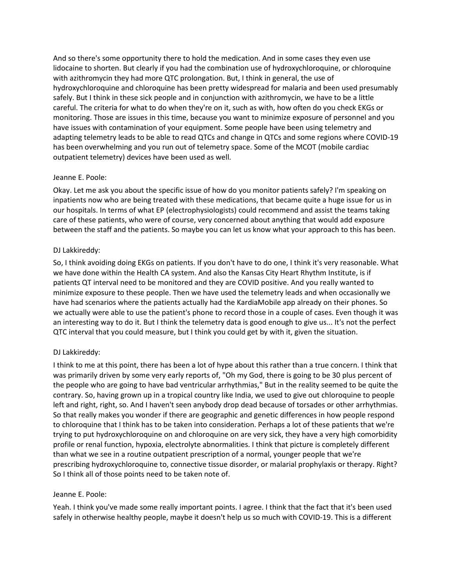And so there's some opportunity there to hold the medication. And in some cases they even use lidocaine to shorten. But clearly if you had the combination use of hydroxychloroquine, or chloroquine with azithromycin they had more QTC prolongation. But, I think in general, the use of hydroxychloroquine and chloroquine has been pretty widespread for malaria and been used presumably safely. But I think in these sick people and in conjunction with azithromycin, we have to be a little careful. The criteria for what to do when they're on it, such as with, how often do you check EKGs or monitoring. Those are issues in this time, because you want to minimize exposure of personnel and you have issues with contamination of your equipment. Some people have been using telemetry and adapting telemetry leads to be able to read QTCs and change in QTCs and some regions where COVID-19 has been overwhelming and you run out of telemetry space. Some of the MCOT (mobile cardiac outpatient telemetry) devices have been used as well.

## Jeanne E. Poole:

Okay. Let me ask you about the specific issue of how do you monitor patients safely? I'm speaking on inpatients now who are being treated with these medications, that became quite a huge issue for us in our hospitals. In terms of what EP (electrophysiologists) could recommend and assist the teams taking care of these patients, who were of course, very concerned about anything that would add exposure between the staff and the patients. So maybe you can let us know what your approach to this has been.

### DJ Lakkireddy:

So, I think avoiding doing EKGs on patients. If you don't have to do one, I think it's very reasonable. What we have done within the Health CA system. And also the Kansas City Heart Rhythm Institute, is if patients QT interval need to be monitored and they are COVID positive. And you really wanted to minimize exposure to these people. Then we have used the telemetry leads and when occasionally we have had scenarios where the patients actually had the KardiaMobile app already on their phones. So we actually were able to use the patient's phone to record those in a couple of cases. Even though it was an interesting way to do it. But I think the telemetry data is good enough to give us... It's not the perfect QTC interval that you could measure, but I think you could get by with it, given the situation.

## DJ Lakkireddy:

I think to me at this point, there has been a lot of hype about this rather than a true concern. I think that was primarily driven by some very early reports of, "Oh my God, there is going to be 30 plus percent of the people who are going to have bad ventricular arrhythmias," But in the reality seemed to be quite the contrary. So, having grown up in a tropical country like India, we used to give out chloroquine to people left and right, right, so. And I haven't seen anybody drop dead because of torsades or other arrhythmias. So that really makes you wonder if there are geographic and genetic differences in how people respond to chloroquine that I think has to be taken into consideration. Perhaps a lot of these patients that we're trying to put hydroxychloroquine on and chloroquine on are very sick, they have a very high comorbidity profile or renal function, hypoxia, electrolyte abnormalities. I think that picture is completely different than what we see in a routine outpatient prescription of a normal, younger people that we're prescribing hydroxychloroquine to, connective tissue disorder, or malarial prophylaxis or therapy. Right? So I think all of those points need to be taken note of.

## Jeanne E. Poole:

Yeah. I think you've made some really important points. I agree. I think that the fact that it's been used safely in otherwise healthy people, maybe it doesn't help us so much with COVID-19. This is a different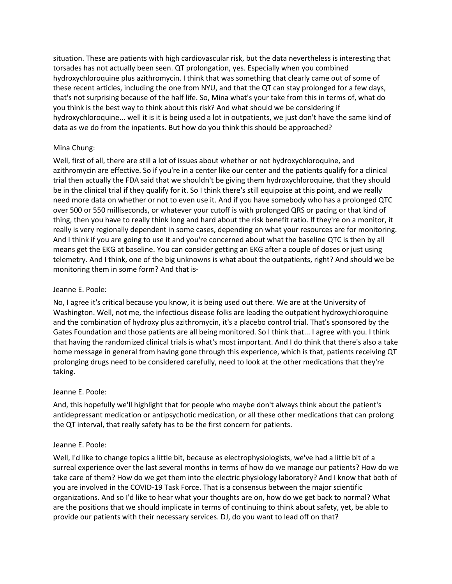situation. These are patients with high cardiovascular risk, but the data nevertheless is interesting that torsades has not actually been seen. QT prolongation, yes. Especially when you combined hydroxychloroquine plus azithromycin. I think that was something that clearly came out of some of these recent articles, including the one from NYU, and that the QT can stay prolonged for a few days, that's not surprising because of the half life. So, Mina what's your take from this in terms of, what do you think is the best way to think about this risk? And what should we be considering if hydroxychloroquine... well it is it is being used a lot in outpatients, we just don't have the same kind of data as we do from the inpatients. But how do you think this should be approached?

# Mina Chung:

Well, first of all, there are still a lot of issues about whether or not hydroxychloroquine, and azithromycin are effective. So if you're in a center like our center and the patients qualify for a clinical trial then actually the FDA said that we shouldn't be giving them hydroxychloroquine, that they should be in the clinical trial if they qualify for it. So I think there's still equipoise at this point, and we really need more data on whether or not to even use it. And if you have somebody who has a prolonged QTC over 500 or 550 milliseconds, or whatever your cutoff is with prolonged QRS or pacing or that kind of thing, then you have to really think long and hard about the risk benefit ratio. If they're on a monitor, it really is very regionally dependent in some cases, depending on what your resources are for monitoring. And I think if you are going to use it and you're concerned about what the baseline QTC is then by all means get the EKG at baseline. You can consider getting an EKG after a couple of doses or just using telemetry. And I think, one of the big unknowns is what about the outpatients, right? And should we be monitoring them in some form? And that is-

# Jeanne E. Poole:

No, I agree it's critical because you know, it is being used out there. We are at the University of Washington. Well, not me, the infectious disease folks are leading the outpatient hydroxychloroquine and the combination of hydroxy plus azithromycin, it's a placebo control trial. That's sponsored by the Gates Foundation and those patients are all being monitored. So I think that... I agree with you. I think that having the randomized clinical trials is what's most important. And I do think that there's also a take home message in general from having gone through this experience, which is that, patients receiving QT prolonging drugs need to be considered carefully, need to look at the other medications that they're taking.

## Jeanne E. Poole:

And, this hopefully we'll highlight that for people who maybe don't always think about the patient's antidepressant medication or antipsychotic medication, or all these other medications that can prolong the QT interval, that really safety has to be the first concern for patients.

## Jeanne E. Poole:

Well, I'd like to change topics a little bit, because as electrophysiologists, we've had a little bit of a surreal experience over the last several months in terms of how do we manage our patients? How do we take care of them? How do we get them into the electric physiology laboratory? And I know that both of you are involved in the COVID-19 Task Force. That is a consensus between the major scientific organizations. And so I'd like to hear what your thoughts are on, how do we get back to normal? What are the positions that we should implicate in terms of continuing to think about safety, yet, be able to provide our patients with their necessary services. DJ, do you want to lead off on that?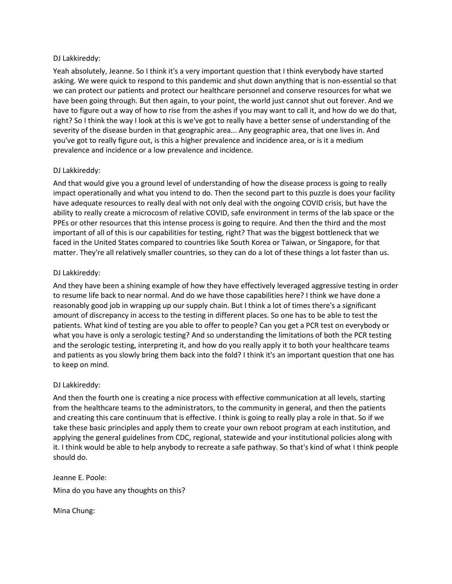### DJ Lakkireddy:

Yeah absolutely, Jeanne. So I think it's a very important question that I think everybody have started asking. We were quick to respond to this pandemic and shut down anything that is non-essential so that we can protect our patients and protect our healthcare personnel and conserve resources for what we have been going through. But then again, to your point, the world just cannot shut out forever. And we have to figure out a way of how to rise from the ashes if you may want to call it, and how do we do that, right? So I think the way I look at this is we've got to really have a better sense of understanding of the severity of the disease burden in that geographic area... Any geographic area, that one lives in. And you've got to really figure out, is this a higher prevalence and incidence area, or is it a medium prevalence and incidence or a low prevalence and incidence.

## DJ Lakkireddy:

And that would give you a ground level of understanding of how the disease process is going to really impact operationally and what you intend to do. Then the second part to this puzzle is does your facility have adequate resources to really deal with not only deal with the ongoing COVID crisis, but have the ability to really create a microcosm of relative COVID, safe environment in terms of the lab space or the PPEs or other resources that this intense process is going to require. And then the third and the most important of all of this is our capabilities for testing, right? That was the biggest bottleneck that we faced in the United States compared to countries like South Korea or Taiwan, or Singapore, for that matter. They're all relatively smaller countries, so they can do a lot of these things a lot faster than us.

### DJ Lakkireddy:

And they have been a shining example of how they have effectively leveraged aggressive testing in order to resume life back to near normal. And do we have those capabilities here? I think we have done a reasonably good job in wrapping up our supply chain. But I think a lot of times there's a significant amount of discrepancy in access to the testing in different places. So one has to be able to test the patients. What kind of testing are you able to offer to people? Can you get a PCR test on everybody or what you have is only a serologic testing? And so understanding the limitations of both the PCR testing and the serologic testing, interpreting it, and how do you really apply it to both your healthcare teams and patients as you slowly bring them back into the fold? I think it's an important question that one has to keep on mind.

## DJ Lakkireddy:

And then the fourth one is creating a nice process with effective communication at all levels, starting from the healthcare teams to the administrators, to the community in general, and then the patients and creating this care continuum that is effective. I think is going to really play a role in that. So if we take these basic principles and apply them to create your own reboot program at each institution, and applying the general guidelines from CDC, regional, statewide and your institutional policies along with it. I think would be able to help anybody to recreate a safe pathway. So that's kind of what I think people should do.

Jeanne E. Poole: Mina do you have any thoughts on this?

Mina Chung: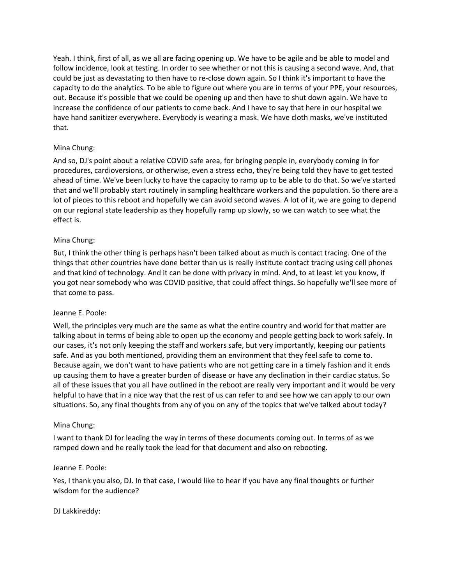Yeah. I think, first of all, as we all are facing opening up. We have to be agile and be able to model and follow incidence, look at testing. In order to see whether or not this is causing a second wave. And, that could be just as devastating to then have to re-close down again. So I think it's important to have the capacity to do the analytics. To be able to figure out where you are in terms of your PPE, your resources, out. Because it's possible that we could be opening up and then have to shut down again. We have to increase the confidence of our patients to come back. And I have to say that here in our hospital we have hand sanitizer everywhere. Everybody is wearing a mask. We have cloth masks, we've instituted that.

# Mina Chung:

And so, DJ's point about a relative COVID safe area, for bringing people in, everybody coming in for procedures, cardioversions, or otherwise, even a stress echo, they're being told they have to get tested ahead of time. We've been lucky to have the capacity to ramp up to be able to do that. So we've started that and we'll probably start routinely in sampling healthcare workers and the population. So there are a lot of pieces to this reboot and hopefully we can avoid second waves. A lot of it, we are going to depend on our regional state leadership as they hopefully ramp up slowly, so we can watch to see what the effect is.

## Mina Chung:

But, I think the other thing is perhaps hasn't been talked about as much is contact tracing. One of the things that other countries have done better than us is really institute contact tracing using cell phones and that kind of technology. And it can be done with privacy in mind. And, to at least let you know, if you got near somebody who was COVID positive, that could affect things. So hopefully we'll see more of that come to pass.

## Jeanne E. Poole:

Well, the principles very much are the same as what the entire country and world for that matter are talking about in terms of being able to open up the economy and people getting back to work safely. In our cases, it's not only keeping the staff and workers safe, but very importantly, keeping our patients safe. And as you both mentioned, providing them an environment that they feel safe to come to. Because again, we don't want to have patients who are not getting care in a timely fashion and it ends up causing them to have a greater burden of disease or have any declination in their cardiac status. So all of these issues that you all have outlined in the reboot are really very important and it would be very helpful to have that in a nice way that the rest of us can refer to and see how we can apply to our own situations. So, any final thoughts from any of you on any of the topics that we've talked about today?

## Mina Chung:

I want to thank DJ for leading the way in terms of these documents coming out. In terms of as we ramped down and he really took the lead for that document and also on rebooting.

## Jeanne E. Poole:

Yes, I thank you also, DJ. In that case, I would like to hear if you have any final thoughts or further wisdom for the audience?

## DJ Lakkireddy: